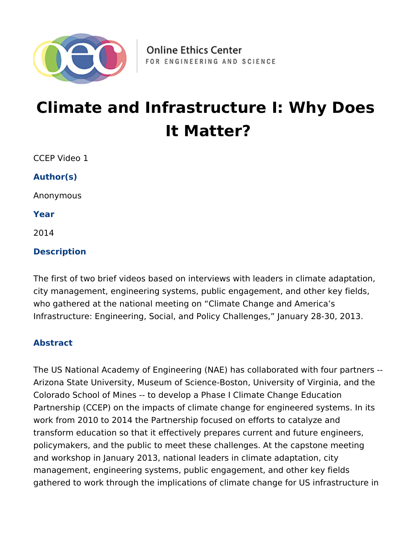

# **Climate and Infrastructure I: Why Does It Matter?**

CCEP Video 1

**Author(s)**

Anonymous

**Year**

2014

### **Description**

The first of two brief videos based on interviews with leaders in climate adaptation, city management, engineering systems, public engagement, and other key fields, who gathered at the national meeting on "Climate Change and America's Infrastructure: Engineering, Social, and Policy Challenges," January 28-30, 2013.

#### **Abstract**

The US National Academy of Engineering (NAE) has collaborated with four partners -- Arizona State University, Museum of Science-Boston, University of Virginia, and the Colorado School of Mines -- to develop a Phase I Climate Change Education Partnership (CCEP) on the impacts of climate change for engineered systems. In its work from 2010 to 2014 the Partnership focused on efforts to catalyze and transform education so that it effectively prepares current and future engineers, policymakers, and the public to meet these challenges. At the capstone meeting and workshop in January 2013, national leaders in climate adaptation, city management, engineering systems, public engagement, and other key fields gathered to work through the implications of climate change for US infrastructure in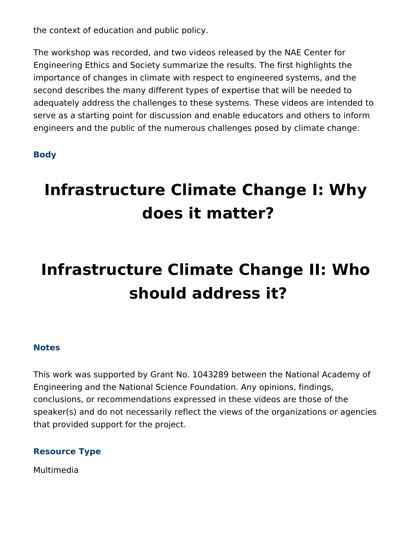the context of education and public policy.

The workshop was recorded, and two videos released by the NAE Center for Engineering Ethics and Society summarize the results. The first highlights the importance of changes in climate with respect to engineered systems, and the second describes the many different types of expertise that will be needed to adequately address the challenges to these systems. These videos are intended to serve as a starting point for discussion and enable educators and others to inform engineers and the public of the numerous challenges posed by climate change.

#### **Body**

# **Infrastructure Climate Change I: Why does it matter?**

# **Infrastructure Climate Change II: Who should address it?**

#### **Notes**

This work was supported by Grant No. 1043289 between the National Academy of Engineering and the National Science Foundation. Any opinions, findings, conclusions, or recommendations expressed in these videos are those of the speaker(s) and do not necessarily reflect the views of the organizations or agencies that provided support for the project.

### **Resource Type**

Multimedia